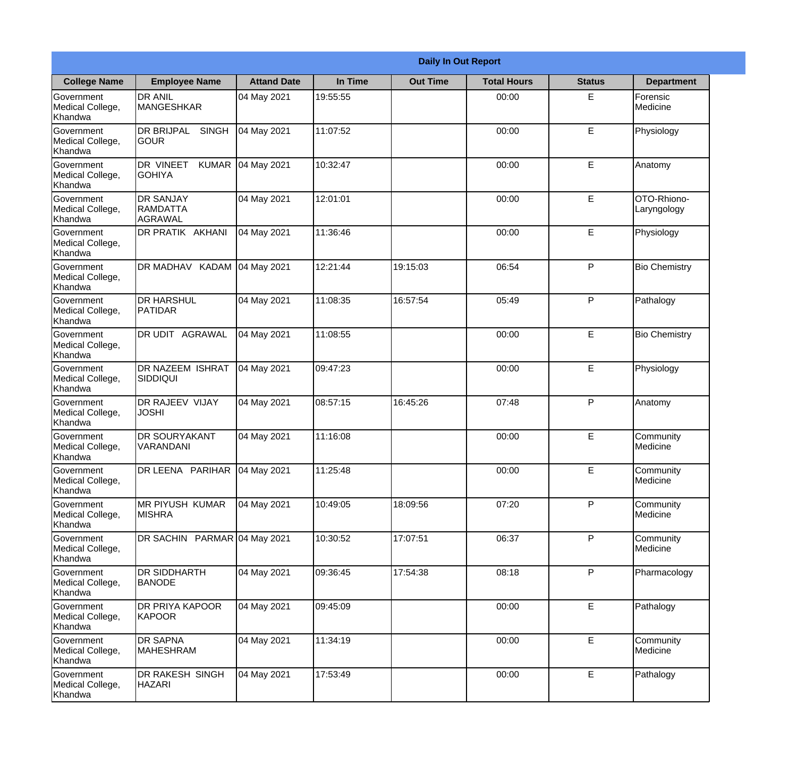|                                                  |                                                |                    |          | <b>Daily In Out Report</b> |                    |               |                              |
|--------------------------------------------------|------------------------------------------------|--------------------|----------|----------------------------|--------------------|---------------|------------------------------|
| <b>College Name</b>                              | <b>Employee Name</b>                           | <b>Attand Date</b> | In Time  | <b>Out Time</b>            | <b>Total Hours</b> | <b>Status</b> | <b>Department</b>            |
| Government<br>Medical College,<br>Khandwa        | <b>DR ANIL</b><br><b>MANGESHKAR</b>            | 04 May 2021        | 19:55:55 |                            | 00:00              | E             | Forensic<br>Medicine         |
| Government<br>Medical College,<br>Khandwa        | <b>DR BRIJPAL</b><br><b>SINGH</b><br> GOUR     | 04 May 2021        | 11:07:52 |                            | 00:00              | E             | Physiology                   |
| Government<br>Medical College,<br>Khandwa        | DR VINEET<br><b>KUMAR</b><br><b>GOHIYA</b>     | 04 May 2021        | 10:32:47 |                            | 00:00              | E             | Anatomy                      |
| Government<br>Medical College,<br>Khandwa        | <b>DR SANJAY</b><br>RAMDATTA<br><b>AGRAWAL</b> | 04 May 2021        | 12:01:01 |                            | 00:00              | E             | OTO-Rhiono-<br>Laryngology   |
| <b>Government</b><br>Medical College,<br>Khandwa | DR PRATIK AKHANI                               | 04 May 2021        | 11:36:46 |                            | 00:00              | E             | Physiology                   |
| Government<br>Medical College,<br>Khandwa        | DR MADHAV KADAM                                | 04 May 2021        | 12:21:44 | 19:15:03                   | 06:54              | P             | <b>Bio Chemistry</b>         |
| <b>Government</b><br>Medical College,<br>Khandwa | <b>I</b> DR HARSHUL<br>PATIDAR                 | 04 May 2021        | 11:08:35 | 16:57:54                   | 05:49              | P             | Pathalogy                    |
| Government<br>Medical College,<br>Khandwa        | DR UDIT AGRAWAL                                | 04 May 2021        | 11:08:55 |                            | 00:00              | E             | <b>Bio Chemistry</b>         |
| <b>Government</b><br>Medical College,<br>Khandwa | <b>DR NAZEEM ISHRAT</b><br> SIDDIQUI           | 04 May 2021        | 09:47:23 |                            | 00:00              | E             | Physiology                   |
| Government<br>Medical College,<br>Khandwa        | <b>DR RAJEEV VIJAY</b><br><b>JOSHI</b>         | 04 May 2021        | 08:57:15 | 16:45:26                   | 07:48              | P             | Anatomy                      |
| Government<br>Medical College,<br>Khandwa        | <b>DR SOURYAKANT</b><br>VARANDANI              | 04 May 2021        | 11:16:08 |                            | 00:00              | E             | Community<br>Medicine        |
| Government<br>Medical College,<br>Khandwa        | DR LEENA PARIHAR                               | 04 May 2021        | 11:25:48 |                            | 00:00              | E             | Community<br>Medicine        |
| Government<br>Medical College,<br>Khandwa        | <b>MR PIYUSH KUMAR</b><br><b>MISHRA</b>        | 04 May 2021        | 10:49:05 | 18:09:56                   | 07:20              | P             | Community<br>Medicine        |
| Government<br>Medical College,<br>Khandwa        | DR SACHIN PARMAR 04 May 2021                   |                    | 10:30:52 | 17:07:51                   | 06:37              | P             | Community<br><b>Medicine</b> |
| Government<br>Medical College,<br>Khandwa        | <b>DR SIDDHARTH</b><br><b>BANODE</b>           | 04 May 2021        | 09:36:45 | 17:54:38                   | 08:18              | P             | Pharmacology                 |
| Government<br>Medical College,<br>Khandwa        | <b>DR PRIYA KAPOOR</b><br><b>KAPOOR</b>        | 04 May 2021        | 09:45:09 |                            | 00:00              | E             | Pathalogy                    |
| Government<br>Medical College,<br>Khandwa        | <b>DR SAPNA</b><br>MAHESHRAM                   | 04 May 2021        | 11:34:19 |                            | 00:00              | E             | Community<br>Medicine        |
| Government<br>Medical College,<br>Khandwa        | DR RAKESH SINGH<br><b>HAZARI</b>               | 04 May 2021        | 17:53:49 |                            | 00:00              | E             | Pathalogy                    |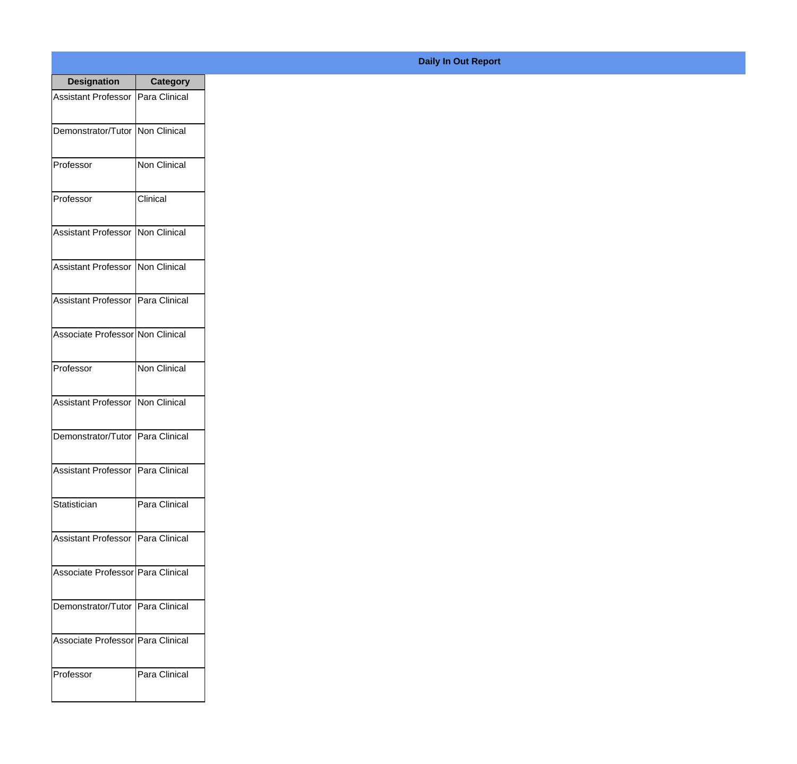| <b>Designation</b>                  | <b>Category</b>     |
|-------------------------------------|---------------------|
| Assistant Professor   Para Clinical |                     |
| Demonstrator/Tutor   Non Clinical   |                     |
| Professor                           | <b>Non Clinical</b> |
| Professor                           | Clinical            |
| Assistant Professor   Non Clinical  |                     |
| Assistant Professor   Non Clinical  |                     |
| Assistant Professor   Para Clinical |                     |
| Associate Professor Non Clinical    |                     |
| Professor                           | <b>Non Clinical</b> |
| Assistant Professor   Non Clinical  |                     |
| Demonstrator/Tutor   Para Clinical  |                     |
| Assistant Professor   Para Clinical |                     |
| Statistician                        | Para Clinical       |
| Assistant Professor   Para Clinical |                     |
| Associate Professor Para Clinical   |                     |
| Demonstrator/Tutor   Para Clinical  |                     |
| Associate Professor   Para Clinical |                     |
| Professor                           | Para Clinical       |

## **Daily In Out Report**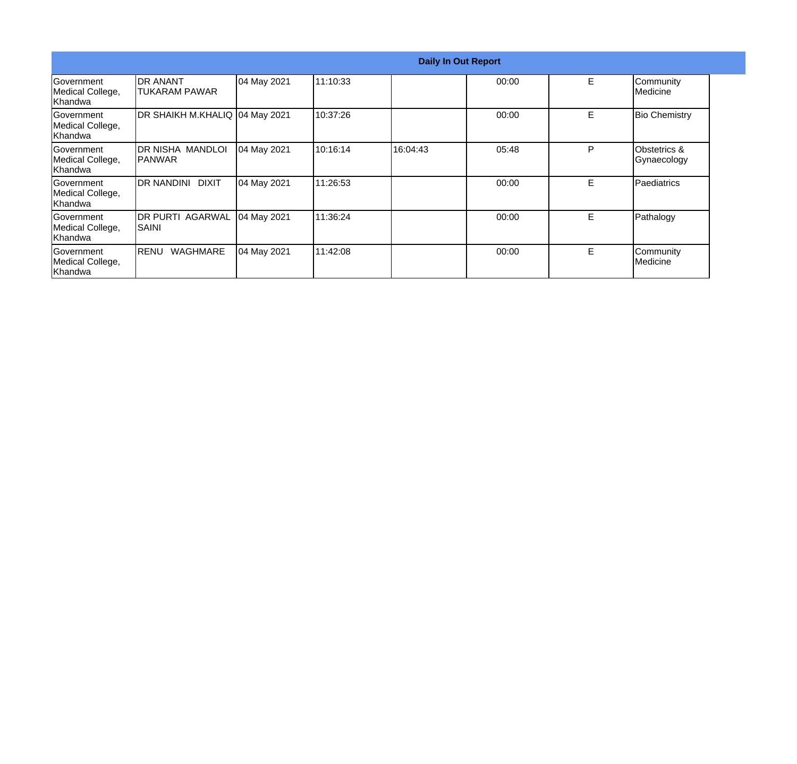|                                                  |                                   |             |          | <b>Daily In Out Report</b> |       |    |                                        |
|--------------------------------------------------|-----------------------------------|-------------|----------|----------------------------|-------|----|----------------------------------------|
| Government<br>Medical College,<br>Khandwa        | <b>DR ANANT</b><br>TUKARAM PAWAR  | 04 May 2021 | 11:10:33 |                            | 00:00 | E  | Community<br>Medicine                  |
| Government<br>Medical College,<br><b>Khandwa</b> | DR SHAIKH M.KHALIQ 04 May 2021    |             | 10:37:26 |                            | 00:00 | E  | <b>Bio Chemistry</b>                   |
| <b>Government</b><br>Medical College,<br>Khandwa | DR NISHA MANDLOI<br>IPANWAR       | 04 May 2021 | 10:16:14 | 16:04:43                   | 05:48 | P  | <b>Obstetrics &amp;</b><br>Gynaecology |
| <b>Government</b><br>Medical College,<br>Khandwa | DR NANDINI DIXIT                  | 04 May 2021 | 11:26:53 |                            | 00:00 | E. | Paediatrics                            |
| Government<br>Medical College,<br>Khandwa        | <b>DR PURTI AGARWAL</b><br> SAINI | 04 May 2021 | 11:36:24 |                            | 00:00 | Е  | Pathalogy                              |
| Government<br>Medical College,<br>Khandwa        | WAGHMARE<br>RENU                  | 04 May 2021 | 11:42:08 |                            | 00:00 | E  | Community<br>Medicine                  |